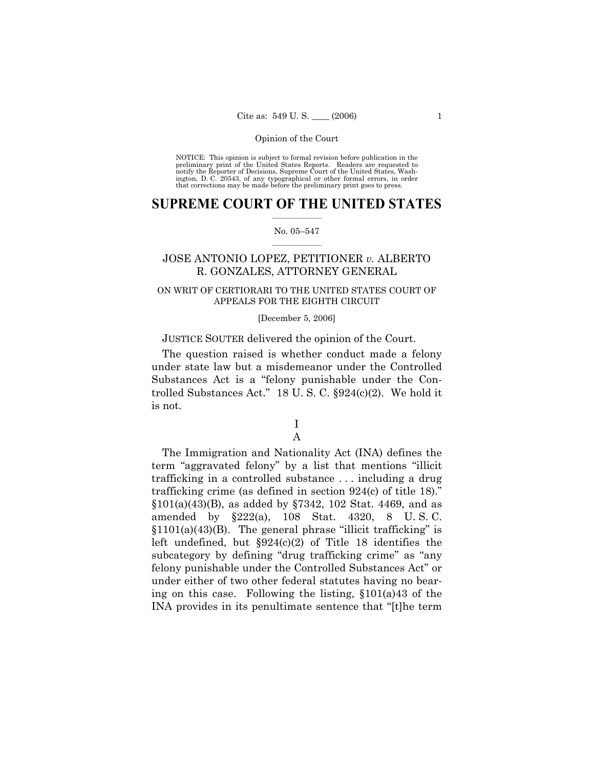NOTICE: This opinion is subject to formal revision before publication in the preliminary print of the United States Reports. Readers are requested to notify the Reporter of Decisions, Supreme Court of the United States, Washington, D. C. 20543, of any typographical or other formal errors, in order that corrections may be made before the preliminary print goes to press.

# **SUPREME COURT OF THE UNITED STATES**  $\frac{1}{2}$  ,  $\frac{1}{2}$  ,  $\frac{1}{2}$  ,  $\frac{1}{2}$  ,  $\frac{1}{2}$  ,  $\frac{1}{2}$  ,  $\frac{1}{2}$

## No. 05-547  $\mathcal{L}=\mathcal{L}$

# JOSE ANTONIO LOPEZ, PETITIONER *v.* ALBERTO R. GONZALES, ATTORNEY GENERAL

# ON WRIT OF CERTIORARI TO THE UNITED STATES COURT OF APPEALS FOR THE EIGHTH CIRCUIT

## [December 5, 2006]

# JUSTICE SOUTER delivered the opinion of the Court.

 The question raised is whether conduct made a felony under state law but a misdemeanor under the Controlled Substances Act is a "felony punishable under the Controlled Substances Act." 18 U.S.C.  $\S 924(c)(2)$ . We hold it is not.

# I A

 The Immigration and Nationality Act (INA) defines the term "aggravated felony" by a list that mentions "illicit" trafficking in a controlled substance . . . including a drug trafficking crime (as defined in section  $924(c)$  of title 18).<sup>n</sup>  $$101(a)(43)(B)$ , as added by  $$7342, 102$  Stat. 4469, and as amended by ß222(a), 108 Stat. 4320, 8 U. S. C.  $$1101(a)(43)(B)$ . The general phrase "illicit trafficking" is left undefined, but  $\S 924(c)(2)$  of Title 18 identifies the subcategory by defining "drug trafficking crime" as "any felony punishable under the Controlled Substances Act" or under either of two other federal statutes having no bearing on this case. Following the listing, ß101(a)43 of the INA provides in its penultimate sentence that "[t]he term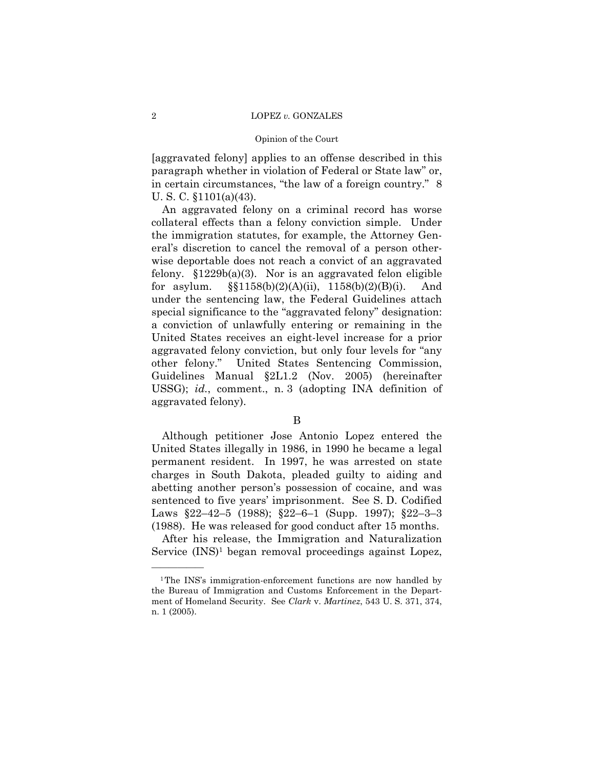## Opinion of the Court

[aggravated felony] applies to an offense described in this paragraph whether in violation of Federal or State law" or, in certain circumstances, "the law of a foreign country."  $8$ U. S. C. ß1101(a)(43).

 An aggravated felony on a criminal record has worse collateral effects than a felony conviction simple. Under the immigration statutes, for example, the Attorney General's discretion to cancel the removal of a person otherwise deportable does not reach a convict of an aggravated felony.  $$1229b(a)(3)$ . Nor is an aggravated felon eligible for asylum.  $\S(1158(b)(2)(A)(ii))$ ,  $1158(b)(2)(B)(i)$ . And under the sentencing law, the Federal Guidelines attach special significance to the "aggravated felony" designation: a conviction of unlawfully entering or remaining in the United States receives an eight-level increase for a prior aggravated felony conviction, but only four levels for "any other felony.î United States Sentencing Commission, Guidelines Manual ß2L1.2 (Nov. 2005) (hereinafter USSG); *id.*, comment., n. 3 (adopting INA definition of aggravated felony).

 Although petitioner Jose Antonio Lopez entered the United States illegally in 1986, in 1990 he became a legal permanent resident. In 1997, he was arrested on state charges in South Dakota, pleaded guilty to aiding and abetting another person's possession of cocaine, and was sentenced to five years' imprisonment. See S.D. Codified Laws  $$22-42-5$  (1988);  $$22-6-1$  (Supp. 1997); §22-3-3 (1988). He was released for good conduct after 15 months.

 After his release, the Immigration and Naturalization Service (INS)1 began removal proceedings against Lopez,

B

<sup>&</sup>lt;sup>1</sup>The INS's immigration-enforcement functions are now handled by the Bureau of Immigration and Customs Enforcement in the Department of Homeland Security. See *Clark* v. *Martinez*, 543 U. S. 371, 374, n. 1 (2005).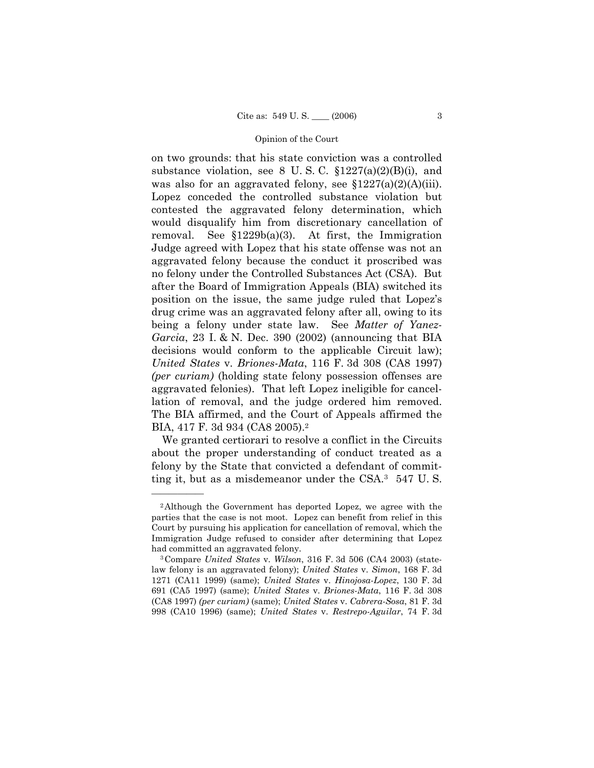on two grounds: that his state conviction was a controlled substance violation, see 8 U.S.C.  $\S 1227(a)(2)(B)(i)$ , and was also for an aggravated felony, see  $$1227(a)(2)(A)(iii)$ . Lopez conceded the controlled substance violation but contested the aggravated felony determination, which would disqualify him from discretionary cancellation of removal. See  $$1229b(a)(3)$ . At first, the Immigration Judge agreed with Lopez that his state offense was not an aggravated felony because the conduct it proscribed was no felony under the Controlled Substances Act (CSA). But after the Board of Immigration Appeals (BIA) switched its position on the issue, the same judge ruled that Lopezís drug crime was an aggravated felony after all, owing to its being a felony under state law. See *Matter of Yanez-Garcia*, 23 I. & N. Dec. 390 (2002) (announcing that BIA decisions would conform to the applicable Circuit law); *United States* v. *Briones-Mata*, 116 F. 3d 308 (CA8 1997) *(per curiam)* (holding state felony possession offenses are aggravated felonies). That left Lopez ineligible for cancellation of removal, and the judge ordered him removed. The BIA affirmed, and the Court of Appeals affirmed the BIA, 417 F. 3d 934 (CA8 2005).2

 We granted certiorari to resolve a conflict in the Circuits about the proper understanding of conduct treated as a felony by the State that convicted a defendant of committing it, but as a misdemeanor under the CSA.3 547 U. S.

<sup>2</sup>Although the Government has deported Lopez, we agree with the parties that the case is not moot. Lopez can benefit from relief in this Court by pursuing his application for cancellation of removal, which the Immigration Judge refused to consider after determining that Lopez

had committed an aggravated felony. 3Compare *United States* v. *Wilson*, 316 F. 3d 506 (CA4 2003) (statelaw felony is an aggravated felony); *United States* v. *Simon*, 168 F. 3d 1271 (CA11 1999) (same); *United States* v. *Hinojosa-Lopez*, 130 F. 3d 691 (CA5 1997) (same); *United States* v. *Briones-Mata*, 116 F. 3d 308 (CA8 1997) *(per curiam)* (same); *United States* v. *Cabrera-Sosa*, 81 F. 3d 998 (CA10 1996) (same); *United States* v. *Restrepo-Aguilar*, 74 F. 3d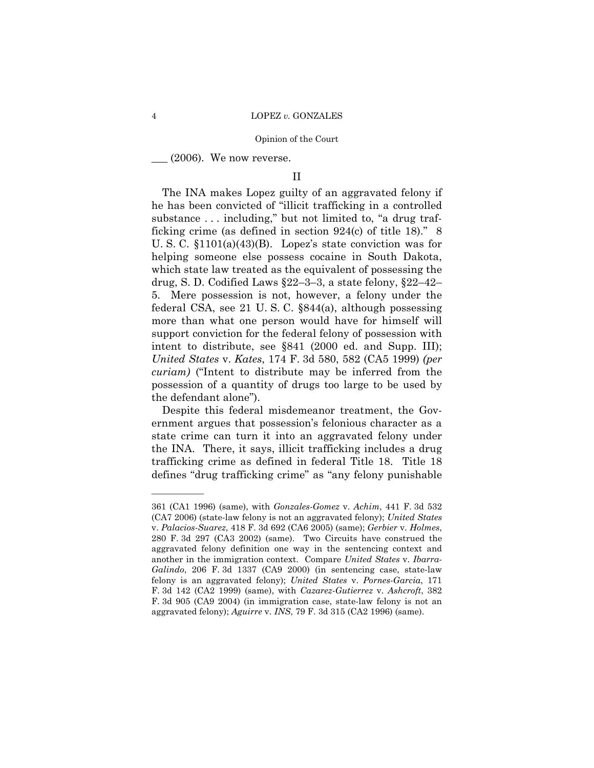$\mu$  (2006). We now reverse.

# II

 The INA makes Lopez guilty of an aggravated felony if he has been convicted of "illicit trafficking in a controlled substance  $\dots$  including," but not limited to, "a drug trafficking crime (as defined in section  $924(c)$  of title 18).<sup>n</sup> 8 U. S. C. ß1101(a)(43)(B). Lopezís state conviction was for helping someone else possess cocaine in South Dakota, which state law treated as the equivalent of possessing the drug, S. D. Codified Laws  $\S22-3-3$ , a state felony,  $\S22-42$ 5. Mere possession is not, however, a felony under the federal CSA, see 21 U. S. C. ß844(a), although possessing more than what one person would have for himself will support conviction for the federal felony of possession with intent to distribute, see ß841 (2000 ed. and Supp. III); *United States* v. *Kates*, 174 F. 3d 580, 582 (CA5 1999) *(per curiam*) ("Intent to distribute may be inferred from the possession of a quantity of drugs too large to be used by the defendant alone").

 Despite this federal misdemeanor treatment, the Government argues that possession's felonious character as a state crime can turn it into an aggravated felony under the INA. There, it says, illicit trafficking includes a drug trafficking crime as defined in federal Title 18. Title 18 defines "drug trafficking crime" as "any felony punishable

<sup>361 (</sup>CA1 1996) (same), with *Gonzales-Gomez* v. *Achim*, 441 F. 3d 532 (CA7 2006) (state-law felony is not an aggravated felony); *United States* v. *Palacios-Suarez*, 418 F. 3d 692 (CA6 2005) (same); *Gerbier* v. *Holmes*, 280 F. 3d 297 (CA3 2002) (same). Two Circuits have construed the aggravated felony definition one way in the sentencing context and another in the immigration context. Compare *United States* v. *Ibarra-Galindo*, 206 F. 3d 1337 (CA9 2000) (in sentencing case, state-law felony is an aggravated felony); *United States* v. *Pornes-Garcia*, 171 F. 3d 142 (CA2 1999) (same), with *Cazarez-Gutierrez* v. *Ashcroft*, 382 F. 3d 905 (CA9 2004) (in immigration case, state-law felony is not an aggravated felony); *Aguirre* v. *INS*, 79 F. 3d 315 (CA2 1996) (same).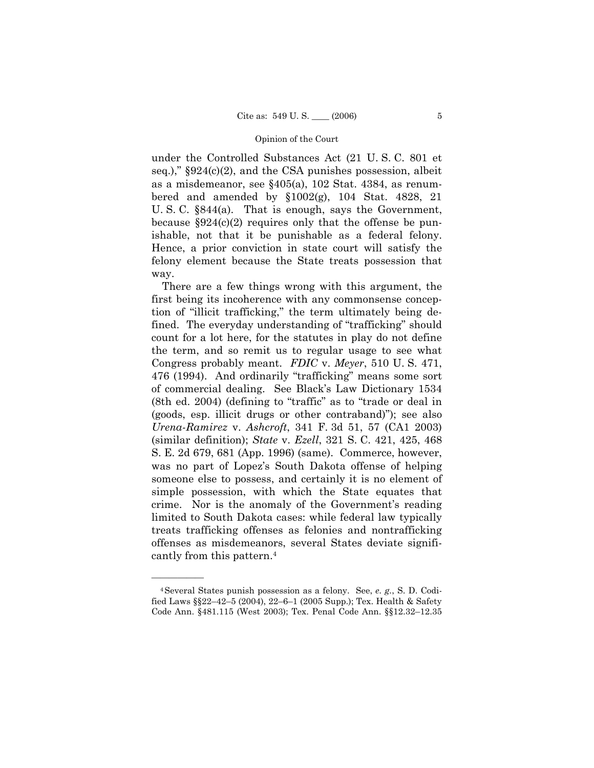under the Controlled Substances Act (21 U. S. C. 801 et seq.),"  $§924(c)(2)$ , and the CSA punishes possession, albeit as a misdemeanor, see ß405(a), 102 Stat. 4384, as renumbered and amended by  $\S 1002(g)$ , 104 Stat. 4828, 21 U. S. C. ß844(a). That is enough, says the Government, because  $\S 924(c)(2)$  requires only that the offense be punishable, not that it be punishable as a federal felony. Hence, a prior conviction in state court will satisfy the felony element because the State treats possession that way.

 There are a few things wrong with this argument, the first being its incoherence with any commonsense conception of "illicit trafficking," the term ultimately being defined. The everyday understanding of "trafficking" should count for a lot here, for the statutes in play do not define the term, and so remit us to regular usage to see what Congress probably meant. *FDIC* v. *Meyer*, 510 U. S. 471, 476 (1994). And ordinarily "trafficking" means some sort of commercial dealing. See Blackís Law Dictionary 1534  $(8th$  ed. 2004) (defining to "traffic" as to "trade or deal in (goods, esp. illicit drugs or other contraband)"); see also *Urena-Ramirez* v. *Ashcroft*, 341 F. 3d 51, 57 (CA1 2003) (similar definition); *State* v. *Ezell*, 321 S. C. 421, 425, 468 S. E. 2d 679, 681 (App. 1996) (same). Commerce, however, was no part of Lopez's South Dakota offense of helping someone else to possess, and certainly it is no element of simple possession, with which the State equates that crime. Nor is the anomaly of the Government's reading limited to South Dakota cases: while federal law typically treats trafficking offenses as felonies and nontrafficking offenses as misdemeanors, several States deviate significantly from this pattern.4

<sup>4</sup>Several States punish possession as a felony. See, *e. g.*, S. D. Codified Laws  $\S$ 22<sup>-42-5</sup> (2004), 22<sup>-6-1</sup> (2005 Supp.); Tex. Health & Safety Code Ann. §481.115 (West 2003); Tex. Penal Code Ann. §§12.32–12.35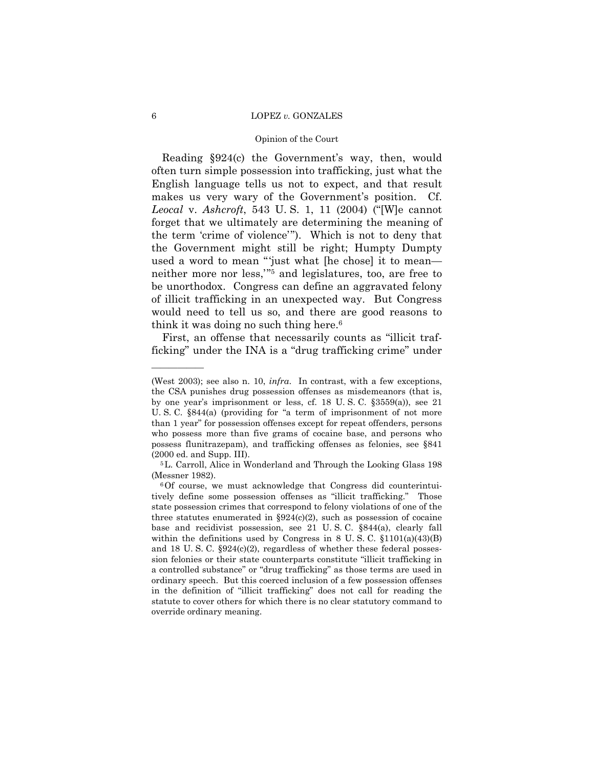## Opinion of the Court

 Reading ß924(c) the Governmentís way, then, would often turn simple possession into trafficking, just what the English language tells us not to expect, and that result makes us very wary of the Government's position. Cf. *Leocal* v. *Ashcroft*, 543 U.S. 1, 11 (2004) ("[W]e cannot forget that we ultimately are determining the meaning of the term 'crime of violence'"). Which is not to deny that the Government might still be right; Humpty Dumpty used a word to mean "'just what [he chose] it to mean neither more nor less,"<sup>5</sup> and legislatures, too, are free to be unorthodox. Congress can define an aggravated felony of illicit trafficking in an unexpected way. But Congress would need to tell us so, and there are good reasons to think it was doing no such thing here.6

First, an offense that necessarily counts as "illicit trafficking" under the INA is a "drug trafficking crime" under

<sup>(</sup>West 2003); see also n. 10, *infra*. In contrast, with a few exceptions, the CSA punishes drug possession offenses as misdemeanors (that is, by one yearís imprisonment or less, cf. 18 U. S. C. ß3559(a)), see 21 U. S. C.  $8844(a)$  (providing for "a term of imprisonment of not more than 1 yearî for possession offenses except for repeat offenders, persons who possess more than five grams of cocaine base, and persons who possess flunitrazepam), and trafficking offenses as felonies, see ß841

<sup>(2000</sup> ed. and Supp. III).  $5L$ . Carroll, Alice in Wonderland and Through the Looking Glass 198 (Messner 1982).  $60f$  course, we must acknowledge that Congress did counterintui-

tively define some possession offenses as "illicit trafficking." Those state possession crimes that correspond to felony violations of one of the three statutes enumerated in  $\S 924(c)(2)$ , such as possession of cocaine base and recidivist possession, see 21 U. S. C. ß844(a), clearly fall within the definitions used by Congress in 8 U.S.C.  $$1101(a)(43)(B)$ and 18 U. S. C. ß924(c)(2), regardless of whether these federal possession felonies or their state counterparts constitute "illicit trafficking in a controlled substance" or "drug trafficking" as those terms are used in ordinary speech. But this coerced inclusion of a few possession offenses in the definition of "illicit trafficking" does not call for reading the statute to cover others for which there is no clear statutory command to override ordinary meaning.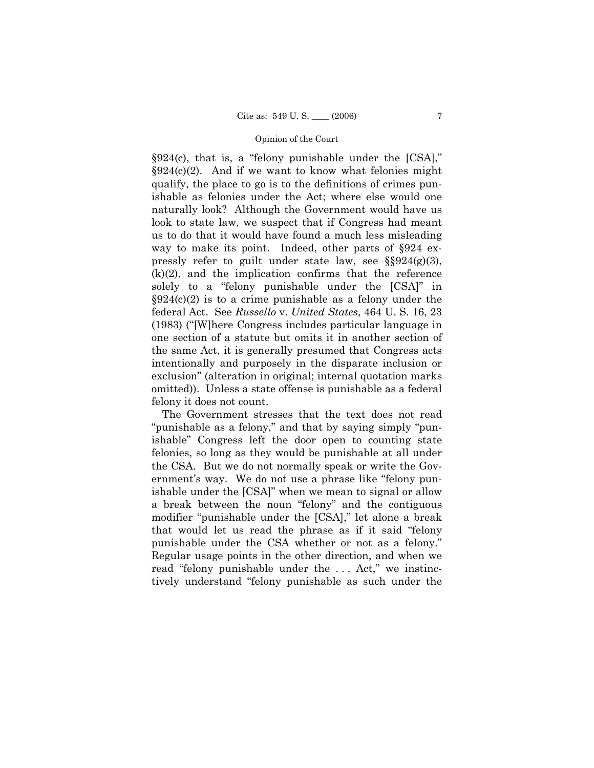§924(c), that is, a "felony punishable under the  $[CSA]$ ,"  $§924(c)(2)$ . And if we want to know what felonies might qualify, the place to go is to the definitions of crimes punishable as felonies under the Act; where else would one naturally look? Although the Government would have us look to state law, we suspect that if Congress had meant us to do that it would have found a much less misleading way to make its point. Indeed, other parts of §924 expressly refer to guilt under state law, see  $\S 924(g)(3)$ ,  $(k)(2)$ , and the implication confirms that the reference solely to a "felony punishable under the  $[CSA]$ " in  $\S 924(c)(2)$  is to a crime punishable as a felony under the federal Act. See *Russello* v. *United States*, 464 U. S. 16, 23  $(1983)$  ("[W]here Congress includes particular language in one section of a statute but omits it in another section of the same Act, it is generally presumed that Congress acts intentionally and purposely in the disparate inclusion or exclusion" (alteration in original; internal quotation marks omitted)). Unless a state offense is punishable as a federal felony it does not count.

 The Government stresses that the text does not read "punishable as a felony," and that by saying simply "punishableî Congress left the door open to counting state felonies, so long as they would be punishable at all under the CSA. But we do not normally speak or write the Government's way. We do not use a phrase like "felony punishable under the [CSA]" when we mean to signal or allow a break between the noun "felony" and the contiguous modifier "punishable under the [CSA]," let alone a break that would let us read the phrase as if it said "felony" punishable under the CSA whether or not as a felony." Regular usage points in the other direction, and when we read "felony punishable under the  $\dots$  Act," we instinctively understand "felony punishable as such under the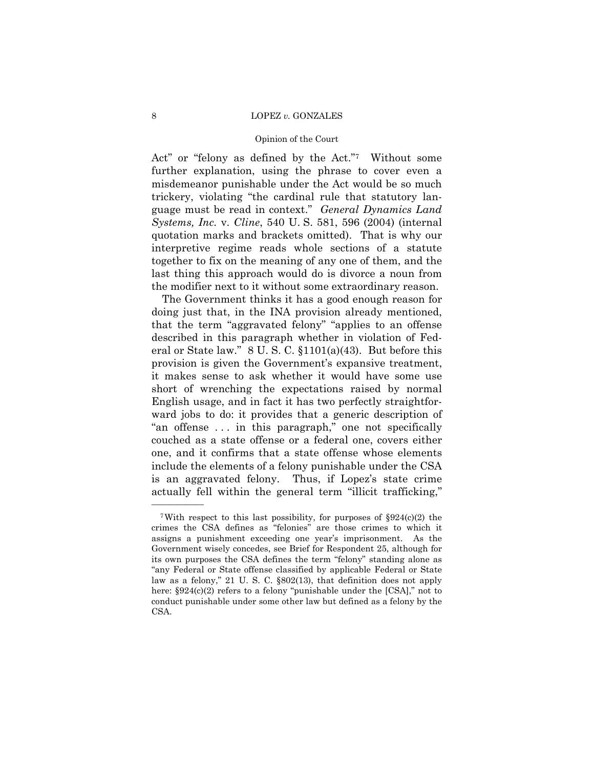# Opinion of the Court

Act" or "felony as defined by the Act."<sup>7</sup> Without some further explanation, using the phrase to cover even a misdemeanor punishable under the Act would be so much trickery, violating "the cardinal rule that statutory language must be read in context.î *General Dynamics Land Systems, Inc.* v. *Cline*, 540 U. S. 581, 596 (2004) (internal quotation marks and brackets omitted). That is why our interpretive regime reads whole sections of a statute together to fix on the meaning of any one of them, and the last thing this approach would do is divorce a noun from the modifier next to it without some extraordinary reason.

 The Government thinks it has a good enough reason for doing just that, in the INA provision already mentioned, that the term "aggravated felony" "applies to an offense described in this paragraph whether in violation of Federal or State law." 8 U.S. C.  $$1101(a)(43)$ . But before this provision is given the Governmentís expansive treatment, it makes sense to ask whether it would have some use short of wrenching the expectations raised by normal English usage, and in fact it has two perfectly straightforward jobs to do: it provides that a generic description of "an offense  $\ldots$  in this paragraph," one not specifically couched as a state offense or a federal one, covers either one, and it confirms that a state offense whose elements include the elements of a felony punishable under the CSA is an aggravated felony. Thus, if Lopezís state crime actually fell within the general term "illicit trafficking,"

<sup>&</sup>lt;sup>7</sup>With respect to this last possibility, for purposes of  $\S 924(c)(2)$  the crimes the CSA defines as "felonies" are those crimes to which it assigns a punishment exceeding one year's imprisonment. As the Government wisely concedes, see Brief for Respondent 25, although for its own purposes the CSA defines the term "felony" standing alone as "any Federal or State offense classified by applicable Federal or State law as a felony," 21 U.S. C.  $\S 802(13)$ , that definition does not apply here:  $$924(c)(2)$  refers to a felony "punishable under the [CSA]," not to conduct punishable under some other law but defined as a felony by the CSA.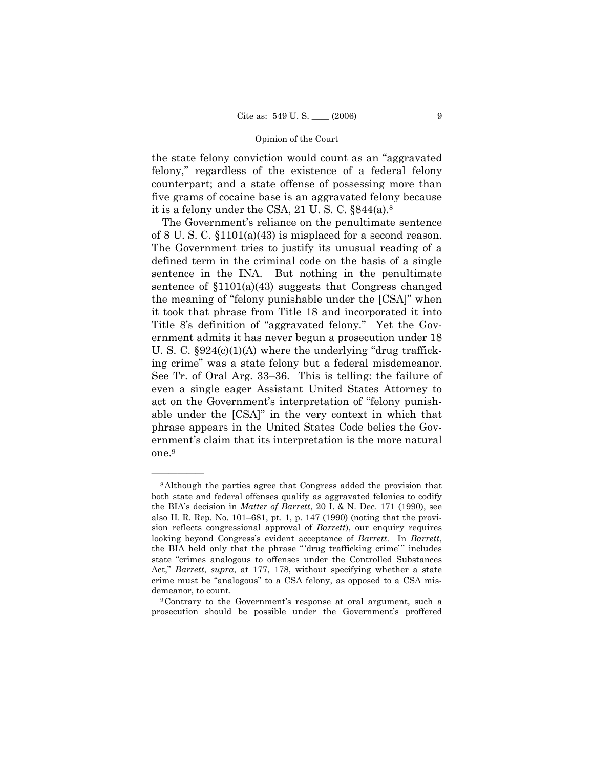the state felony conviction would count as an "aggravated" felony," regardless of the existence of a federal felony counterpart; and a state offense of possessing more than five grams of cocaine base is an aggravated felony because it is a felony under the CSA, 21 U. S. C. ß844(a).8

The Government's reliance on the penultimate sentence of 8 U. S. C. ß1101(a)(43) is misplaced for a second reason. The Government tries to justify its unusual reading of a defined term in the criminal code on the basis of a single sentence in the INA. But nothing in the penultimate sentence of  $$1101(a)(43)$  suggests that Congress changed the meaning of "felony punishable under the  $[CSA]$ " when it took that phrase from Title 18 and incorporated it into Title 8's definition of "aggravated felony." Yet the Government admits it has never begun a prosecution under 18 U. S. C.  $\S 924(c)(1)(A)$  where the underlying "drug trafficking crime" was a state felony but a federal misdemeanor. See Tr. of Oral Arg.  $33-36$ . This is telling: the failure of even a single eager Assistant United States Attorney to act on the Government's interpretation of "felony punishable under the [CSA]" in the very context in which that phrase appears in the United States Code belies the Government's claim that its interpretation is the more natural one.9

<sup>8</sup>Although the parties agree that Congress added the provision that both state and federal offenses qualify as aggravated felonies to codify the BIAís decision in *Matter of Barrett*, 20 I. & N. Dec. 171 (1990), see also H. R. Rep. No. 101–681, pt. 1, p. 147 (1990) (noting that the provision reflects congressional approval of *Barrett*), our enquiry requires looking beyond Congressís evident acceptance of *Barrett*. In *Barrett*, the BIA held only that the phrase "'drug trafficking crime'" includes state "crimes analogous to offenses under the Controlled Substances Act,î *Barrett*, *supra*, at 177, 178, without specifying whether a state crime must be "analogous" to a CSA felony, as opposed to a CSA mis-

demeanor, to count.<br><sup>9</sup>Contrary to the Government's response at oral argument, such a prosecution should be possible under the Government's proffered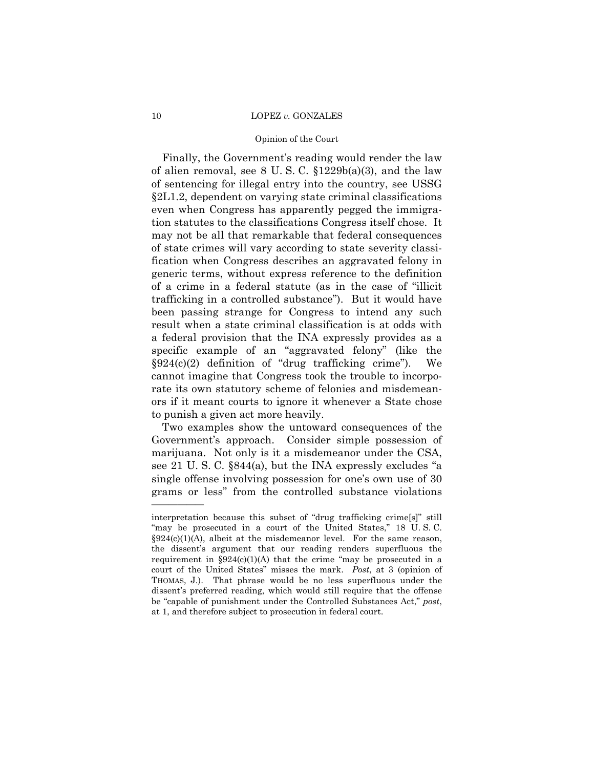## Opinion of the Court

Finally, the Government's reading would render the law of alien removal, see  $8 \text{ U.S. C. }$   $$1229b(a)(3)$ , and the law of sentencing for illegal entry into the country, see USSG ß2L1.2, dependent on varying state criminal classifications even when Congress has apparently pegged the immigration statutes to the classifications Congress itself chose. It may not be all that remarkable that federal consequences of state crimes will vary according to state severity classification when Congress describes an aggravated felony in generic terms, without express reference to the definition of a crime in a federal statute (as in the case of "illicit" trafficking in a controlled substance"). But it would have been passing strange for Congress to intend any such result when a state criminal classification is at odds with a federal provision that the INA expressly provides as a specific example of an "aggravated felony" (like the  $\S 924(c)(2)$  definition of "drug trafficking crime"). We cannot imagine that Congress took the trouble to incorporate its own statutory scheme of felonies and misdemeanors if it meant courts to ignore it whenever a State chose to punish a given act more heavily.

 Two examples show the untoward consequences of the Governmentís approach. Consider simple possession of marijuana. Not only is it a misdemeanor under the CSA, see 21 U.S.C.  $§844(a)$ , but the INA expressly excludes "a single offense involving possession for one's own use of 30 grams or lessî from the controlled substance violations

interpretation because this subset of "drug trafficking crime[s]" still "may be prosecuted in a court of the United States," 18 U.S.C. §924(c)(1)(A), albeit at the misdemeanor level. For the same reason, the dissent's argument that our reading renders superfluous the requirement in  $\S 924(c)(1)(A)$  that the crime "may be prosecuted in a court of the United Statesî misses the mark. *Post*, at 3 (opinion of THOMAS, J.). That phrase would be no less superfluous under the dissent's preferred reading, which would still require that the offense be "capable of punishment under the Controlled Substances Act," post, at 1, and therefore subject to prosecution in federal court.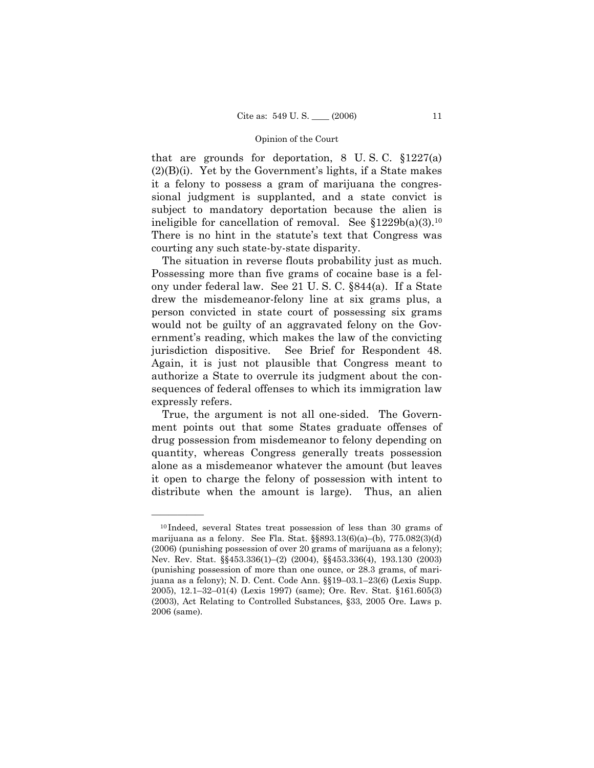that are grounds for deportation,  $8 \text{ U.S. C. } \S 1227(a)$  $(2)(B)(i)$ . Yet by the Government's lights, if a State makes it a felony to possess a gram of marijuana the congressional judgment is supplanted, and a state convict is subject to mandatory deportation because the alien is ineligible for cancellation of removal. See  $$1229b(a)(3).^{10}$ There is no hint in the statute's text that Congress was courting any such state-by-state disparity.

 The situation in reverse flouts probability just as much. Possessing more than five grams of cocaine base is a felony under federal law. See 21 U. S. C. ß844(a). If a State drew the misdemeanor-felony line at six grams plus, a person convicted in state court of possessing six grams would not be guilty of an aggravated felony on the Government's reading, which makes the law of the convicting jurisdiction dispositive. See Brief for Respondent 48. Again, it is just not plausible that Congress meant to authorize a State to overrule its judgment about the consequences of federal offenses to which its immigration law expressly refers.

 True, the argument is not all one-sided. The Government points out that some States graduate offenses of drug possession from misdemeanor to felony depending on quantity, whereas Congress generally treats possession alone as a misdemeanor whatever the amount (but leaves it open to charge the felony of possession with intent to distribute when the amount is large). Thus, an alien

<sup>10</sup> Indeed, several States treat possession of less than 30 grams of marijuana as a felony. See Fla. Stat.  $\S$ 893.13(6)(a)-(b), 775.082(3)(d) (2006) (punishing possession of over 20 grams of marijuana as a felony); Nev. Rev. Stat. §§453.336(1)–(2) (2004), §§453.336(4), 193.130 (2003) (punishing possession of more than one ounce, or 28.3 grams, of marijuana as a felony); N. D. Cent. Code Ann.  $\S19-03.1-23(6)$  (Lexis Supp. 2005), 12.1–32–01(4) (Lexis 1997) (same); Ore. Rev. Stat. §161.605(3) (2003), Act Relating to Controlled Substances, ß33, 2005 Ore. Laws p. 2006 (same).